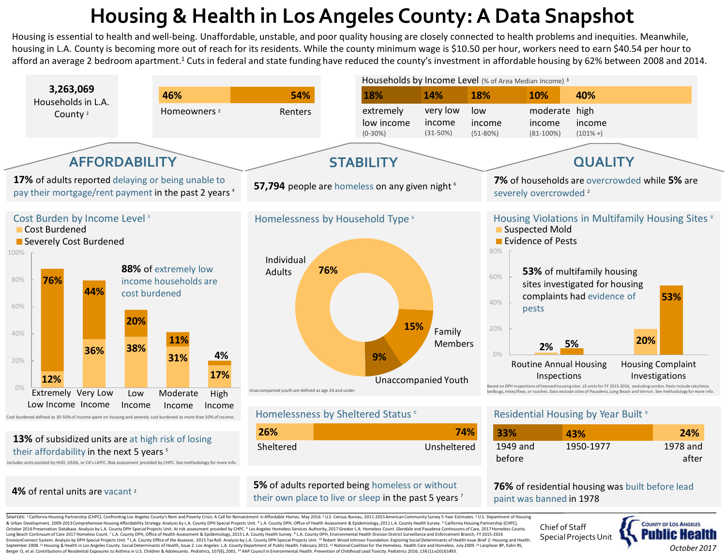# **Housing & Health in Los Angeles County: A Data Snapshot**

Housing is essential to health and well-being. Unaffordable, unstable, and poor quality housing are closely connected to health problems and inequities. Meanwhile, housing in L.A. County is becoming more out of reach for its residents. While the county minimum wage is \$10.50 per hour, workers need to earn \$40.54 per hour to afford an average 2 bedroom apartment.<sup>1</sup> Cuts in federal and state funding have reduced the county's investment in affordable housing by 62% between 2008 and 2014.



Includes units assisted by HUD, USDA, or CA's LIHTC. Risk assessment provided by CHPC. See methodology for more info.

## **4%** of rental units are vacant 2

### **5%** of adults reported being homeless or without their own place to live or sleep in the past 5 years<sup>7</sup>

Chief of Staff Special Projects Unit

paint was banned in 1978

**76%** of residential housing was built before lead



Sources: <sup>1</sup> California Housing Partnership (CHPC). Confronting Los Angeles County's Rent and Poverty Crisis: A Call for Reinvestment in Affordable Homes. May 2016.<sup>2</sup> U.S. Census Bureau. 2011-2015 American Community Surve & Urban Development, 2009-2013 Comprehensive Housing Affordability Strategy. Analysis by L.A. County DPH Special Projects Unit. <sup>4</sup> L.A. County DPH, Office of Health Assessment & Epidemiology, 2011 L.A. County Health Surve October 2016 Preservation Database, Analysis by LA, County DPH Special Projects Unit, At risk assessment provided by CHPC, 6 Los Angeles Homeless Services Authority, 2017 Greater LA, Homeles Count, Glendale and Pasadena Co Long Beach Continuum of Care 2017 Homeless Count.<sup>7</sup> L.A. County DPH, Office of Health Assessment & Epidemiology, 2015 L.A. County Health Survey.<sup>8</sup> L.A. County DPH, Environmental Health Division District Surveillance and EnvisionConnect System. Analysis by DPH Special Projects Unit. <sup>9</sup> L.A. County Office of the Assessor, 2015 Tax Roll. Analysis by L.A. County DPH Special Projects Unit. <sup>30</sup> Robert Wood Johnson Foundation. Exploring Social September 2008.<sup>11</sup> Housing & Health in Los Angeles County. Social Determinants of Health, Issue 2. Los Angeles: L.A. County Department of Public Health. February 2015.<sup>12</sup> National Coalition for the Homeless. Health Care Berger O, et al. Contributions of Residential Exposures to Asthma in U.S. Children & Adolescents. Pediatrics, 107(6), 2001.<sup>14</sup> AAP Council in Environmental Health. Prevention of Childhood Lead Toxicity. Pediatrics 2016; 1